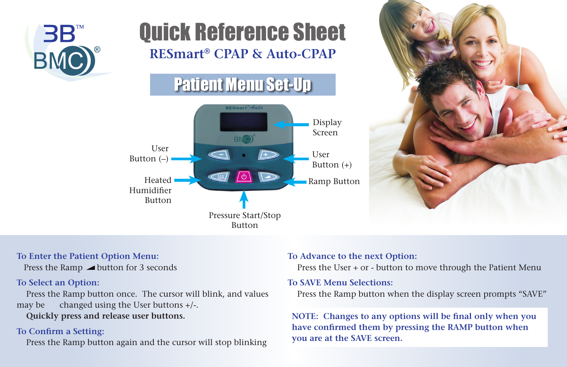

# Quick Reference Sheet **RESmart® CPAP & Auto-CPAP**





## **To Enter the Patient Option Menu:**

Press the Ramp button for 3 seconds

# **To Select an Option:**

 Press the Ramp button once. The cursor will blink, and values may be changed using the User buttons +/-.

**Quickly press and release user buttons.**

## **To Confirm a Setting:**

Press the Ramp button again and the cursor will stop blinking

#### **To Advance to the next Option:**

Press the User + or - button to move through the Patient Menu

#### **To SAVE Menu Selections:**

Press the Ramp button when the display screen prompts "SAVE"

**NOTE: Changes to any options will be final only when you have confirmed them by pressing the RAMP button when you are at the SAVE screen.**